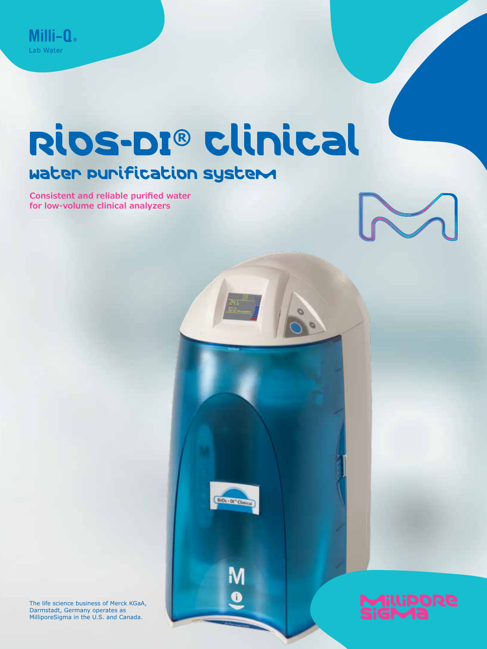# RiOs-DI**®** Clinical Water Purification System

**Consistent and reliable purified water for low-volume clinical analyzers**



M

ï.

The life science business of Merck KGaA, Darmstadt, Germany operates as MilliporeSigma in the U.S. and Canada.

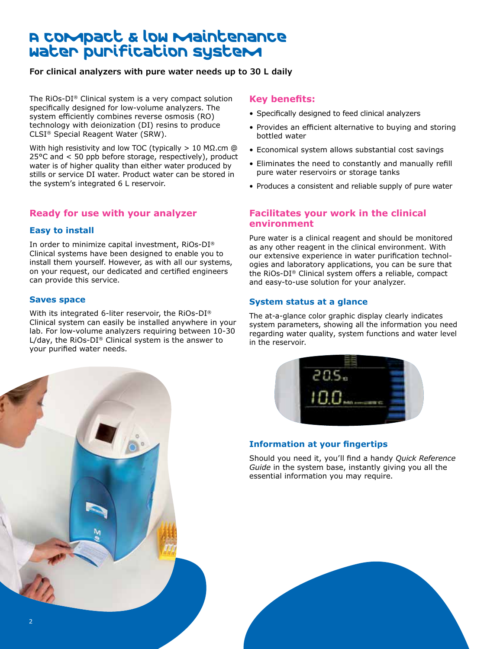# A compact & low maintenance water purification system

# **For clinical analyzers with pure water needs up to 30 L daily**

The RiOs-DI® Clinical system is a very compact solution specifically designed for low-volume analyzers. The system efficiently combines reverse osmosis (RO) technology with deionization (DI) resins to produce CLSI® Special Reagent Water (SRW).

With high resistivity and low TOC (typically > 10 MΩ.cm @ 25°C and < 50 ppb before storage, respectively), product water is of higher quality than either water produced by stills or service DI water. Product water can be stored in the system's integrated 6 L reservoir.

## **Ready for use with your analyzer**

## **Easy to install**

In order to minimize capital investment, RiOs-DI® Clinical systems have been designed to enable you to install them yourself. However, as with all our systems, on your request, our dedicated and certified engineers can provide this service.

#### **Saves space**

With its integrated 6-liter reservoir, the RiOs-DI® Clinical system can easily be installed anywhere in your lab. For low-volume analyzers requiring between 10-30 L/day, the RiOs-DI<sup>®</sup> Clinical system is the answer to your purified water needs.

## **Key benefits:**

- Specifically designed to feed clinical analyzers
- Provides an efficient alternative to buying and storing bottled water
- Economical system allows substantial cost savings
- Eliminates the need to constantly and manually refill pure water reservoirs or storage tanks
- Produces a consistent and reliable supply of pure water

#### **Facilitates your work in the clinical environment**

Pure water is a clinical reagent and should be monitored as any other reagent in the clinical environment. With our extensive experience in water purification technologies and laboratory applications, you can be sure that the RiOs-DI® Clinical system offers a reliable, compact and easy-to-use solution for your analyzer.

#### **System status at a glance**

The at-a-glance color graphic display clearly indicates system parameters, showing all the information you need regarding water quality, system functions and water level in the reservoir.



# **Information at your fingertips**

Should you need it, you'll find a handy *Quick Reference Guide* in the system base, instantly giving you all the essential information you may require.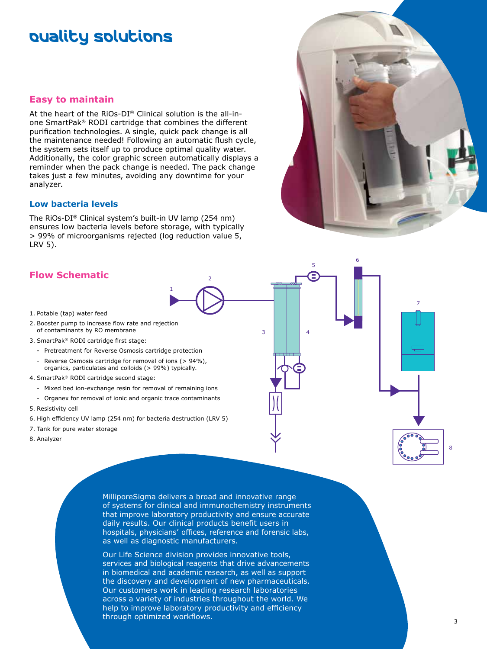# Quality Solutions

## **Easy to maintain**

At the heart of the RiOs-DI® Clinical solution is the all-inone SmartPak® RODI cartridge that combines the different purification technologies. A single, quick pack change is all the maintenance needed! Following an automatic flush cycle, the system sets itself up to produce optimal quality water. Additionally, the color graphic screen automatically displays a reminder when the pack change is needed. The pack change takes just a few minutes, avoiding any downtime for your analyzer.

#### **Low bacteria levels**

The RiOs-DI® Clinical system's built-in UV lamp (254 nm) ensures low bacteria levels before storage, with typically > 99% of microorganisms rejected (log reduction value 5, LRV 5).

1

 $\overline{2}$ 

3

4

5

6

# **Flow Schematic**

- 1. Potable (tap) water feed
- 2. Booster pump to increase flow rate and rejection of contaminants by RO membrane
- 3. SmartPak® RODI cartridge first stage:
	- Pretreatment for Reverse Osmosis cartridge protection
	- Reverse Osmosis cartridge for removal of ions (> 94%), organics, particulates and colloids (> 99%) typically.
- 4. SmartPak® RODI cartridge second stage:
	- Mixed bed ion-exchange resin for removal of remaining ions
	- Organex for removal of ionic and organic trace contaminants
- 5. Resistivity cell
- 6. High efficiency UV lamp (254 nm) for bacteria destruction (LRV 5)
- 7. Tank for pure water storage
- 8. Analyzer

MilliporeSigma delivers a broad and innovative range of systems for clinical and immunochemistry instruments that improve laboratory productivity and ensure accurate daily results. Our clinical products benefit users in hospitals, physicians' offices, reference and forensic labs, as well as diagnostic manufacturers.

Our Life Science division provides innovative tools, services and biological reagents that drive advancements in biomedical and academic research, as well as support the discovery and development of new pharmaceuticals. Our customers work in leading research laboratories across a variety of industries throughout the world. We help to improve laboratory productivity and efficiency through optimized workflows. The state of the state of the state of the state of the state of the state of the

8

7

 $\overline{\phantom{a}}$